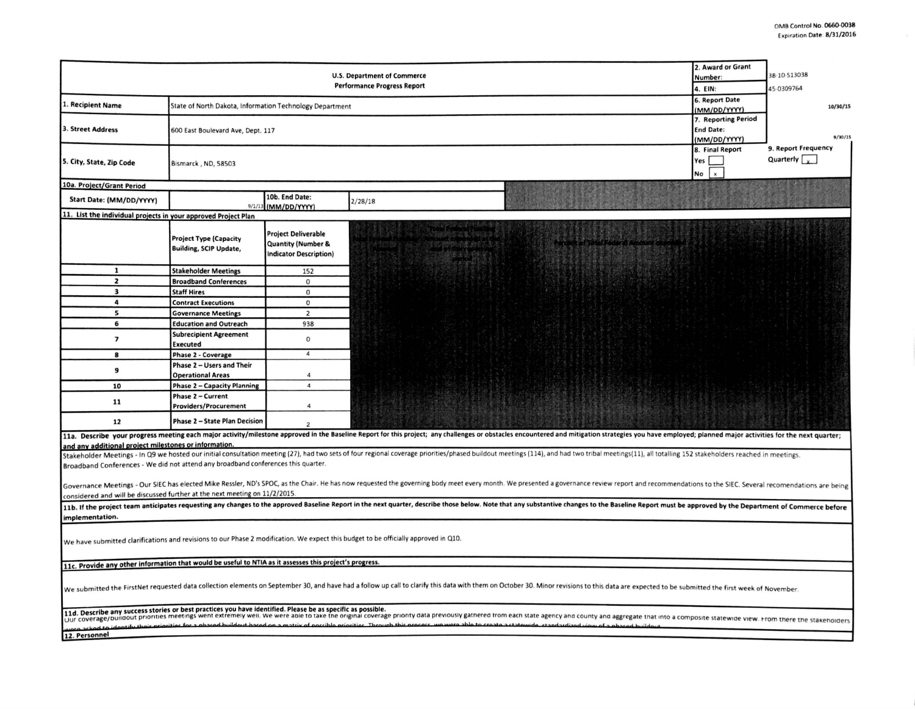|                                                                                                                                                                                                                                |                                    |                                                          |                                                                                                                                                                                                                                | 2. Award or Grant              | 38-10-513038         |  |  |  |  |  |
|--------------------------------------------------------------------------------------------------------------------------------------------------------------------------------------------------------------------------------|------------------------------------|----------------------------------------------------------|--------------------------------------------------------------------------------------------------------------------------------------------------------------------------------------------------------------------------------|--------------------------------|----------------------|--|--|--|--|--|
| <b>U.S. Department of Commerce</b><br><b>Performance Progress Report</b>                                                                                                                                                       |                                    |                                                          |                                                                                                                                                                                                                                | Number:                        |                      |  |  |  |  |  |
|                                                                                                                                                                                                                                | 4. EIN:                            | 45-0309764                                               |                                                                                                                                                                                                                                |                                |                      |  |  |  |  |  |
| I. Recipient Name                                                                                                                                                                                                              |                                    |                                                          |                                                                                                                                                                                                                                | 6. Report Date<br>(MM/DD/YYYY) | 10/30/15             |  |  |  |  |  |
|                                                                                                                                                                                                                                |                                    | State of North Dakota, Information Technology Department |                                                                                                                                                                                                                                |                                |                      |  |  |  |  |  |
|                                                                                                                                                                                                                                |                                    |                                                          |                                                                                                                                                                                                                                | 7. Reporting Period            |                      |  |  |  |  |  |
| 3. Street Address                                                                                                                                                                                                              | 600 East Boulevard Ave, Dept. 117  |                                                          |                                                                                                                                                                                                                                | <b>End Date:</b>               | 9/30/15              |  |  |  |  |  |
|                                                                                                                                                                                                                                |                                    |                                                          |                                                                                                                                                                                                                                | (MM/DD/YYYY)                   | 9. Report Frequency  |  |  |  |  |  |
| 5. City, State, Zip Code                                                                                                                                                                                                       | Bismarck, ND, 58503                |                                                          |                                                                                                                                                                                                                                | 8. Final Report<br>Yes         | Quarterly $\sqrt{v}$ |  |  |  |  |  |
|                                                                                                                                                                                                                                |                                    |                                                          |                                                                                                                                                                                                                                | <b>No</b><br>$\mathbf{x}$      |                      |  |  |  |  |  |
| 10a. Project/Grant Period                                                                                                                                                                                                      |                                    |                                                          |                                                                                                                                                                                                                                |                                |                      |  |  |  |  |  |
| Start Date: (MM/DD/YYYY)                                                                                                                                                                                                       |                                    | 10b. End Date:                                           |                                                                                                                                                                                                                                |                                |                      |  |  |  |  |  |
|                                                                                                                                                                                                                                |                                    | 9/1/13 (MM/DD/YYYY)                                      | 2/28/18                                                                                                                                                                                                                        |                                |                      |  |  |  |  |  |
| 11. List the individual projects in your approved Project Plan                                                                                                                                                                 |                                    |                                                          |                                                                                                                                                                                                                                |                                |                      |  |  |  |  |  |
|                                                                                                                                                                                                                                |                                    |                                                          |                                                                                                                                                                                                                                |                                |                      |  |  |  |  |  |
|                                                                                                                                                                                                                                | <b>Project Type (Capacity</b>      | <b>Project Deliverable</b>                               |                                                                                                                                                                                                                                |                                |                      |  |  |  |  |  |
|                                                                                                                                                                                                                                | <b>Building, SCIP Update,</b>      | <b>Quantity (Number &amp;</b>                            |                                                                                                                                                                                                                                |                                |                      |  |  |  |  |  |
|                                                                                                                                                                                                                                |                                    | <b>Indicator Description)</b>                            |                                                                                                                                                                                                                                |                                |                      |  |  |  |  |  |
| $\mathbf{1}$                                                                                                                                                                                                                   |                                    |                                                          |                                                                                                                                                                                                                                |                                |                      |  |  |  |  |  |
| $\overline{\mathbf{z}}$                                                                                                                                                                                                        | <b>Stakeholder Meetings</b>        | 152                                                      |                                                                                                                                                                                                                                |                                |                      |  |  |  |  |  |
|                                                                                                                                                                                                                                | <b>Broadband Conferences</b>       | $\mathbf 0$                                              |                                                                                                                                                                                                                                |                                |                      |  |  |  |  |  |
| $\overline{\mathbf{3}}$                                                                                                                                                                                                        | <b>Staff Hires</b>                 | $\mathbf{0}$                                             |                                                                                                                                                                                                                                |                                |                      |  |  |  |  |  |
| 4                                                                                                                                                                                                                              | <b>Contract Executions</b>         | $\mathbf 0$                                              |                                                                                                                                                                                                                                |                                |                      |  |  |  |  |  |
| 5                                                                                                                                                                                                                              | <b>Governance Meetings</b>         | $\overline{2}$                                           |                                                                                                                                                                                                                                |                                |                      |  |  |  |  |  |
| 6                                                                                                                                                                                                                              | <b>Education and Outreach</b>      | 938                                                      |                                                                                                                                                                                                                                |                                |                      |  |  |  |  |  |
| $\overline{ }$                                                                                                                                                                                                                 | <b>Subrecipient Agreement</b>      | $\mathbf{0}$                                             |                                                                                                                                                                                                                                |                                |                      |  |  |  |  |  |
|                                                                                                                                                                                                                                | <b>Executed</b>                    |                                                          |                                                                                                                                                                                                                                |                                |                      |  |  |  |  |  |
| 8                                                                                                                                                                                                                              | Phase 2 - Coverage                 | $\overline{a}$                                           |                                                                                                                                                                                                                                |                                |                      |  |  |  |  |  |
|                                                                                                                                                                                                                                | Phase 2 - Users and Their          |                                                          |                                                                                                                                                                                                                                |                                |                      |  |  |  |  |  |
| 9                                                                                                                                                                                                                              | <b>Operational Areas</b>           | $\overline{4}$                                           |                                                                                                                                                                                                                                |                                |                      |  |  |  |  |  |
| 10                                                                                                                                                                                                                             | <b>Phase 2 - Capacity Planning</b> | $\boldsymbol{4}$                                         |                                                                                                                                                                                                                                |                                |                      |  |  |  |  |  |
|                                                                                                                                                                                                                                | Phase 2 - Current                  |                                                          |                                                                                                                                                                                                                                |                                |                      |  |  |  |  |  |
| 11                                                                                                                                                                                                                             | <b>Providers/Procurement</b>       | $\overline{4}$                                           |                                                                                                                                                                                                                                |                                |                      |  |  |  |  |  |
| 12                                                                                                                                                                                                                             | Phase 2 - State Plan Decision      | $\overline{2}$                                           |                                                                                                                                                                                                                                |                                |                      |  |  |  |  |  |
|                                                                                                                                                                                                                                |                                    |                                                          | 11a, Describe your progress meeting each major activity/milestone approved in the Baseline Report for this project; any challenges or obstacles encountered and mitigation strategies you have employed; planned major activit |                                |                      |  |  |  |  |  |
| and any additional project milestones or information.                                                                                                                                                                          |                                    |                                                          |                                                                                                                                                                                                                                |                                |                      |  |  |  |  |  |
|                                                                                                                                                                                                                                |                                    |                                                          | Stakeholder Meetings - In Q9 we hosted our initial consultation meeting (27), had two sets of four regional coverage priorities/phased buildout meetings (114), and had two tribal meetings(11), all totalling 152 stakeholder |                                |                      |  |  |  |  |  |
| Broadband Conferences - We did not attend any broadband conferences this quarter.                                                                                                                                              |                                    |                                                          |                                                                                                                                                                                                                                |                                |                      |  |  |  |  |  |
|                                                                                                                                                                                                                                |                                    |                                                          |                                                                                                                                                                                                                                |                                |                      |  |  |  |  |  |
|                                                                                                                                                                                                                                |                                    |                                                          | Governance Meetings - Our SIEC has elected Mike Ressler, ND's SPOC, as the Chair. He has now requested the governing body meet every month. We presented a governance review report and recommendations to the SIEC. Several r |                                |                      |  |  |  |  |  |
| considered and will be discussed further at the next meeting on 11/2/2015.                                                                                                                                                     |                                    |                                                          |                                                                                                                                                                                                                                |                                |                      |  |  |  |  |  |
|                                                                                                                                                                                                                                |                                    |                                                          | 11b. If the project team anticipates requesting any changes to the approved Baseline Report in the next quarter, describe those below. Note that any substantive changes to the Baseline Report must be approved by the Depart |                                |                      |  |  |  |  |  |
|                                                                                                                                                                                                                                |                                    |                                                          |                                                                                                                                                                                                                                |                                |                      |  |  |  |  |  |
| implementation.                                                                                                                                                                                                                |                                    |                                                          |                                                                                                                                                                                                                                |                                |                      |  |  |  |  |  |
|                                                                                                                                                                                                                                |                                    |                                                          |                                                                                                                                                                                                                                |                                |                      |  |  |  |  |  |
|                                                                                                                                                                                                                                |                                    |                                                          | We have submitted clarifications and revisions to our Phase 2 modification. We expect this budget to be officially approved in Q10.                                                                                            |                                |                      |  |  |  |  |  |
|                                                                                                                                                                                                                                |                                    |                                                          |                                                                                                                                                                                                                                |                                |                      |  |  |  |  |  |
| 11c. Provide any other information that would be useful to NTIA as it assesses this project's progress.                                                                                                                        |                                    |                                                          |                                                                                                                                                                                                                                |                                |                      |  |  |  |  |  |
|                                                                                                                                                                                                                                |                                    |                                                          |                                                                                                                                                                                                                                |                                |                      |  |  |  |  |  |
|                                                                                                                                                                                                                                |                                    |                                                          |                                                                                                                                                                                                                                |                                |                      |  |  |  |  |  |
|                                                                                                                                                                                                                                |                                    |                                                          | We submitted the FirstNet requested data collection elements on September 30, and have had a follow up call to clarify this data with them on October 30. Minor revisions to this data are expected to be submitted the first  |                                |                      |  |  |  |  |  |
|                                                                                                                                                                                                                                |                                    |                                                          |                                                                                                                                                                                                                                |                                |                      |  |  |  |  |  |
| 11d. Describe any success stories or best practices you have identified. Please be as specific as possible.                                                                                                                    |                                    |                                                          |                                                                                                                                                                                                                                |                                |                      |  |  |  |  |  |
| Dur coverage/buildout priorities meetings went extremely well. We were able to take the original coverage priority data previously gathered from each state agency and county and aggregate that into a composite statewide vi |                                    |                                                          |                                                                                                                                                                                                                                |                                |                      |  |  |  |  |  |
|                                                                                                                                                                                                                                |                                    |                                                          |                                                                                                                                                                                                                                |                                |                      |  |  |  |  |  |
| 12. Personnel                                                                                                                                                                                                                  |                                    |                                                          |                                                                                                                                                                                                                                |                                |                      |  |  |  |  |  |
|                                                                                                                                                                                                                                |                                    |                                                          |                                                                                                                                                                                                                                |                                |                      |  |  |  |  |  |